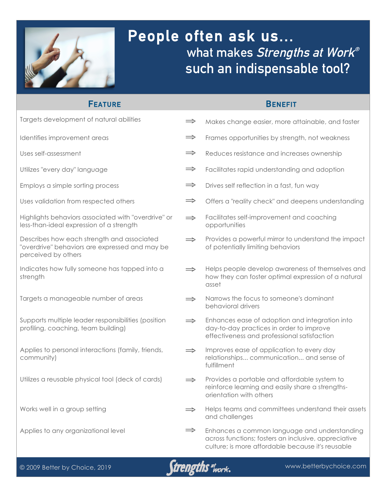

# **People often ask us... what makes Strengths at Work® such an indispensable tool?**

## **FEATURE**

### **BENEFIT**

| Targets development of natural abilities                                                                            | $\Rightarrow$ | Makes change easier, more attainable, and faster                                                                                                          |
|---------------------------------------------------------------------------------------------------------------------|---------------|-----------------------------------------------------------------------------------------------------------------------------------------------------------|
| Identifies improvement areas                                                                                        | $\Rightarrow$ | Frames opportunities by strength, not weakness                                                                                                            |
| Uses self-assessment                                                                                                | $\Rightarrow$ | Reduces resistance and increases ownership                                                                                                                |
| Utilizes "every day" language                                                                                       | $\Rightarrow$ | Facilitates rapid understanding and adoption                                                                                                              |
| Employs a simple sorting process                                                                                    | $\Rightarrow$ | Drives self reflection in a fast, fun way                                                                                                                 |
| Uses validation from respected others                                                                               | $\Rightarrow$ | Offers a "reality check" and deepens understanding                                                                                                        |
| Highlights behaviors associated with "overdrive" or<br>less-than-ideal expression of a strength                     | $\Rightarrow$ | Facilitates self-improvement and coaching<br>opportunities                                                                                                |
| Describes how each strength and associated<br>"overdrive" behaviors are expressed and may be<br>perceived by others | $\Rightarrow$ | Provides a powerful mirror to understand the impact<br>of potentially limiting behaviors                                                                  |
| Indicates how fully someone has tapped into a<br>strength                                                           | $\Rightarrow$ | Helps people develop awareness of themselves and<br>how they can foster optimal expression of a natural<br>asset                                          |
| Targets a manageable number of areas                                                                                | $\Rightarrow$ | Narrows the focus to someone's dominant<br>behavioral drivers                                                                                             |
| Supports multiple leader responsibilities (position<br>profiling, coaching, team building)                          | $\Rightarrow$ | Enhances ease of adoption and integration into<br>day-to-day practices in order to improve<br>effectiveness and professional satisfaction                 |
| Applies to personal interactions (family, friends,<br>community)                                                    | $\Rightarrow$ | Improves ease of application to every day<br>relationships communication and sense of<br>fulfillment                                                      |
| Utilizes a reusable physical tool (deck of cards)                                                                   | $\Rightarrow$ | Provides a portable and affordable system to<br>reinforce learning and easily share a strengths-<br>orientation with others                               |
| Works well in a group setting                                                                                       |               | Helps teams and committees understand their assets<br>and challenges                                                                                      |
| Applies to any organizational level                                                                                 | $\Rightarrow$ | Enhances a common language and understanding<br>across functions; fosters an inclusive, appreciative<br>culture; is more affordable because it's reusable |

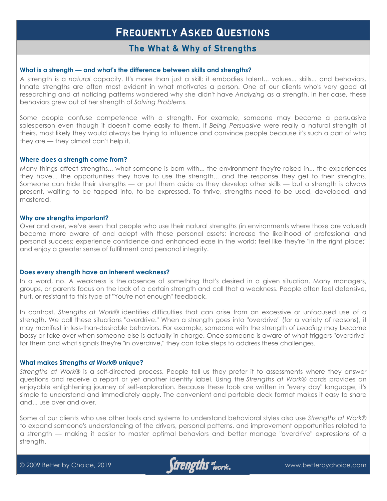### **The What & Why of Strengths**

#### **What is a strength — and what's the difference between skills and strengths?**

A strength is a *natural* capacity. It's more than just a skill; it embodies talent... values... skills... and behaviors. Innate strengths are often most evident in what motivates a person. One of our clients who's very good at researching and at noticing patterns wondered why she didn't have *Analyzing* as a strength. In her case, these behaviors grew out of her strength of *Solving Problems.*

Some people confuse competence with a strength. For example, someone may become a persuasive salesperson even though it doesn't come easily to them. If *Being Persuasive* were really a natural strength of theirs, most likely they would always be trying to influence and convince people because it's such a part of who they are — they almost can't help it.

#### **Where does a strength come from?**

Many things affect strengths... what someone is born with... the environment they're raised in... the experiences they have... the opportunities they have to use the strength... and the response they get to their strengths. Someone can hide their strengths — or put them aside as they develop other skills — but a strength is always present, waiting to be tapped into, to be expressed. To thrive, strengths need to be used, developed, and mastered.

#### **Why are strengths important?**

Over and over, we've seen that people who use their natural strengths (in environments where those are valued) become more aware of and adept with these personal assets; increase the likelihood of professional and personal success; experience confidence and enhanced ease in the world; feel like they're "in the right place;" and enjoy a greater sense of fulfillment and personal integrity.

#### **Does every strength have an inherent weakness?**

In a word, no. A weakness is the absence of something that's desired in a given situation. Many managers, groups, or parents focus on the lack of a certain strength and call that a weakness. People often feel defensive, hurt, or resistant to this type of "You're not enough" feedback.

In contrast, *Strengths at Work®* identifies difficulties that can arise from an excessive or unfocused use of a strength. We call these situations "overdrive." When a strength goes into "overdrive" (for a variety of reasons), it may manifest in less-than-desirable behaviors. For example, someone with the strength of *Leading* may become bossy or take over when someone else is actually in charge. Once someone is aware of what triggers "overdrive" for them and what signals they're "in overdrive," they can take steps to address these challenges.

#### **What makes** *Strengths at Work®* **unique?**

*Strengths at Work®* is a self-directed process. People tell us they prefer it to assessments where they answer questions and receive a report or yet another identity label. Using the *Strengths at Work®* cards provides an enjoyable enlightening journey of self-exploration. Because these tools are written in "every day" language, it's simple to understand and immediately apply. The convenient and portable deck format makes it easy to share and... use over and over.

Some of our clients who use other tools and systems to understand behavioral styles also use *Strengths at Work®* to expand someone's understanding of the drivers, personal patterns, and improvement opportunities related to a strength — making it easier to master optimal behaviors and better manage "overdrive" expressions of a strength.

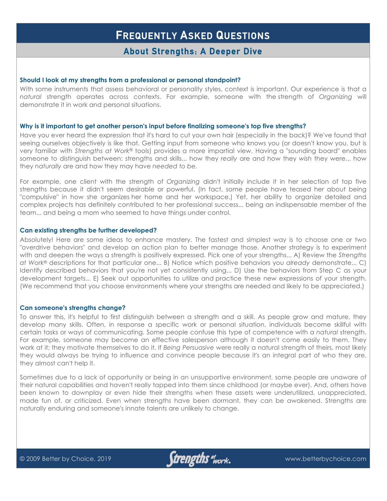## **About Strengths: A Deeper Dive**

#### **Should I look at my strengths from a professional or personal standpoint?**

With some instruments that assess behavioral or personality styles, context is important. Our experience is that a *natural* strength operates across contexts. For example, someone with the strength of *Organizing* will demonstrate it in work and personal situations.

#### **Why is it important to get another person's input before finalizing someone's top five strengths?**

Have you ever heard the expression that it's hard to cut your own hair (especially in the back)? We've found that seeing ourselves objectively is like that. Getting input from someone who knows you (or doesn't know you, but is very familiar with *Strengths at Work®* tools) provides a more impartial view. Having a "sounding board" enables someone to distinguish between: strengths and skills... how they *really* are and how they *wish* they were... how they *naturally* are and how they may have *needed to be.*

For example, one client with the strength of *Organizing* didn't initially include it in her selection of top five strengths because it didn't seem desirable or powerful. (In fact, some people have teased her about being "compulsive" in how she organizes her home and her workspace.) Yet, her ability to organize detailed and complex projects has definitely contributed to her professional success... being an indispensable member of the team... and being a mom who seemed to have things under control.

#### **Can existing strengths be further developed?**

Absolutely! Here are some ideas to enhance mastery. The fastest and simplest way is to choose one or two "overdrive behaviors" and develop an action plan to better manage those. Another strategy is to experiment with and deepen the ways a strength is positively expressed. Pick one of your strengths... A) Review the *Strengths at Work®* descriptions for that particular one... B) Notice which positive behaviors you *already* demonstrate... C) Identify described behaviors that you're not yet consistently using... D) Use the behaviors from Step C as your development targets... E) Seek out opportunities to utilize and practice these new expressions of your strength. (We recommend that you choose environments where your strengths are needed and likely to be appreciated.)

#### **Can someone's strengths change?**

To answer this, it's helpful to first distinguish between a strength and a skill. As people grow and mature, they develop many skills. Often, in response a specific work or personal situation, individuals become skillful with certain tasks or ways of communicating. Some people confuse this type of competence with a *natural* strength. For example, someone may become an effective salesperson although it doesn't come easily to them. They work at it; they motivate themselves to do it. If *Being Persuasive* were really a natural strength of theirs, most likely they would always be trying to influence and convince people because it's an integral part of who they are, they almost can't help it.

Sometimes due to a lack of opportunity or being in an unsupportive environment, some people are unaware of their natural capabilities and haven't really tapped into them since childhood (or maybe ever). And, others have been known to downplay or even hide their strengths when these assets were underutilized, unappreciated, made fun of, or criticized. Even when strengths have been dormant, they can be awakened. Strengths are naturally enduring and someone's innate talents are unlikely to change.

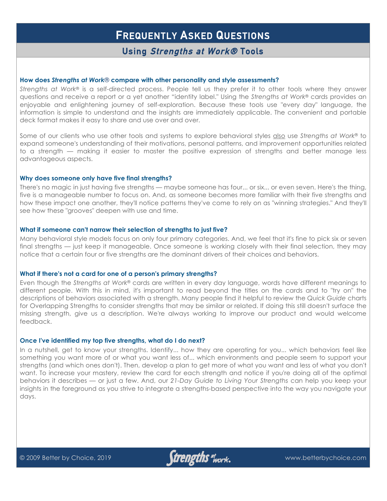### **Using Strengths at Work® Tools**

#### **How does** *Strengths at Work®* **compare with other personality and style assessments?**

*Strengths at Work®* is a self-directed process. People tell us they prefer it to other tools where they answer questions and receive a report or a yet another "identity label." Using the *Strengths at Work®* cards provides an enjoyable and enlightening journey of self-exploration. Because these tools use "every day" language, the information is simple to understand and the insights are immediately applicable. The convenient and portable deck format makes it easy to share and use over and over.

Some of our clients who use other tools and systems to explore behavioral styles also use *Strengths at Work®* to expand someone's understanding of their motivations, personal patterns, and improvement opportunities related to a strength — making it easier to master the positive expression of strengths and better manage less advantageous aspects.

#### **Why does someone only have five final strengths?**

There's no magic in just having five strengths — maybe someone has four... or six... or even seven. Here's the thing, five is a manageable number to focus on. And, as someone becomes more familiar with their five strengths and how these impact one another, they'll notice patterns they've come to rely on as "winning strategies." And they'll see how these "grooves" deepen with use and time.

#### **What if someone can't narrow their selection of strengths to just five?**

Many behavioral style models focus on only four primary categories. And, we feel that it's fine to pick six or seven final strengths — just keep it manageable. Once someone is working closely with their final selection, they may notice that a certain four or five strengths are the dominant drivers of their choices and behaviors.

#### **What if there's not a card for one of a person's primary strengths?**

Even though the *Strengths at Work®* cards are written in every day language, words have different meanings to different people. With this in mind, it's important to read beyond the titles on the cards and to "try on" the descriptions of behaviors associated with a strength. Many people find it helpful to review the *Quick Guide* charts for Overlapping Strengths to consider strengths that may be similar or related. If doing this still doesn't surface the missing strength, give us a description. We're always working to improve our product and would welcome feedback.

#### **Once I've identified my top five strengths, what do I do next?**

In a nutshell, get to know your strengths. Identify... how they are operating for you... which behaviors feel like something you want more of or what you want less of... which environments and people seem to support your strengths (and which ones don't). Then, develop a plan to get more of what you want and less of what you don't want. To increase your mastery, review the card for each strength and notice if you're doing all of the optimal behaviors it describes — or just a few. And, our *21-Day Guide to Living Your Strengths* can help you keep your insights in the foreground as you strive to integrate a strengths-based perspective into the way you navigate your days.